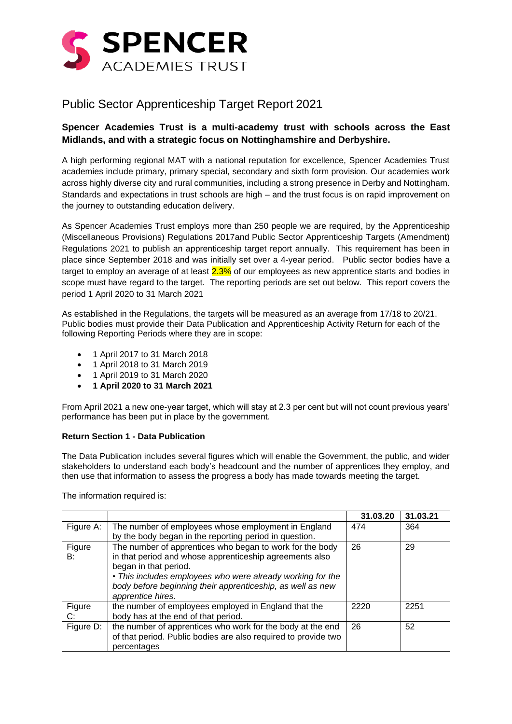

## Public Sector Apprenticeship Target Report 2021

## **Spencer Academies Trust is a multi-academy trust with schools across the East Midlands, and with a strategic focus on Nottinghamshire and Derbyshire.**

A high performing regional MAT with a national reputation for excellence, Spencer Academies Trust academies include primary, primary special, secondary and sixth form provision. Our academies work across highly diverse city and rural communities, including a strong presence in Derby and Nottingham. Standards and expectations in trust schools are high – and the trust focus is on rapid improvement on the journey to outstanding education delivery.

As Spencer Academies Trust employs more than 250 people we are required, by the Apprenticeship (Miscellaneous Provisions) Regulations 2017and Public Sector Apprenticeship Targets (Amendment) Regulations 2021 to publish an apprenticeship target report annually. This requirement has been in place since September 2018 and was initially set over a 4-year period. Public sector bodies have a target to employ an average of at least  $2.3\%$  of our employees as new apprentice starts and bodies in scope must have regard to the target. The reporting periods are set out below. This report covers the period 1 April 2020 to 31 March 2021

As established in the Regulations, the targets will be measured as an average from 17/18 to 20/21. Public bodies must provide their Data Publication and Apprenticeship Activity Return for each of the following Reporting Periods where they are in scope:

- 1 April 2017 to 31 March 2018
- 1 April 2018 to 31 March 2019
- 1 April 2019 to 31 March 2020
- **1 April 2020 to 31 March 2021**

From April 2021 a new one-year target, which will stay at 2.3 per cent but will not count previous years' performance has been put in place by the government.

## **Return Section 1 - Data Publication**

The Data Publication includes several figures which will enable the Government, the public, and wider stakeholders to understand each body's headcount and the number of apprentices they employ, and then use that information to assess the progress a body has made towards meeting the target.

The information required is:

|              |                                                                                                                                                                                                                                                                                               | 31.03.20 | 31.03.21 |
|--------------|-----------------------------------------------------------------------------------------------------------------------------------------------------------------------------------------------------------------------------------------------------------------------------------------------|----------|----------|
| Figure A:    | The number of employees whose employment in England                                                                                                                                                                                                                                           | 474      | 364      |
|              | by the body began in the reporting period in question.                                                                                                                                                                                                                                        |          |          |
| Figure<br>B: | The number of apprentices who began to work for the body<br>in that period and whose apprenticeship agreements also<br>began in that period.<br>• This includes employees who were already working for the<br>body before beginning their apprenticeship, as well as new<br>apprentice hires. | 26       | 29       |
| Figure<br>C: | the number of employees employed in England that the<br>body has at the end of that period.                                                                                                                                                                                                   | 2220     | 2251     |
| Figure D:    | the number of apprentices who work for the body at the end<br>of that period. Public bodies are also required to provide two<br>percentages                                                                                                                                                   | 26       | 52       |